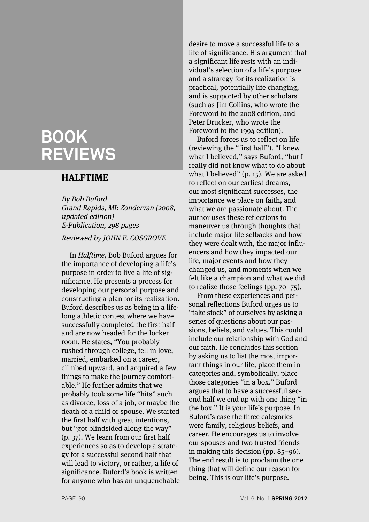# **BOOK REVIEWS**

### **HALFTIME**

By Bob Buford Grand Rapids, MI: Zondervan (2008, updated edition) E-Publication, 298 pages Reviewed by JOHN F. COSGROVE

In Halftime, Bob Buford argues for the importance of developing a life's purpose in order to live a life of significance. He presents a process for developing our personal purpose and constructing a plan for its realization. Buford describes us as being in a lifelong athletic contest where we have successfully completed the first half and are now headed for the locker room. He states, "You probably rushed through college, fell in love, married, embarked on a career, climbed upward, and acquired a few things to make the journey comfortable." He further admits that we probably took some life "hits" such as divorce, loss of a job, or maybe the death of a child or spouse. We started the first half with great intentions, but "got blindsided along the way" (p. 37). We learn from our first half experiences so as to develop a strategy for a successful second half that will lead to victory, or rather, a life of significance. Buford's book is written for anyone who has an unquenchable

desire to move a successful life to a life of significance. His argument that a significant life rests with an individual's selection of a life's purpose and a strategy for its realization is practical, potentially life changing, and is supported by other scholars (such as Jim Collins, who wrote the Foreword to the 2008 edition, and Peter Drucker, who wrote the Foreword to the 1994 edition).

Buford forces us to reflect on life (reviewing the "first half"). "I knew what I believed," says Buford, "but I really did not know what to do about what I believed" (p. 15). We are asked to reflect on our earliest dreams, our most significant successes, the importance we place on faith, and what we are passionate about. The author uses these reflections to maneuver us through thoughts that include major life setbacks and how they were dealt with, the major influencers and how they impacted our life, major events and how they changed us, and moments when we felt like a champion and what we did to realize those feelings (pp. 70–75).

From these experiences and personal reflections Buford urges us to "take stock" of ourselves by asking a series of questions about our passions, beliefs, and values. This could include our relationship with God and our faith. He concludes this section by asking us to list the most important things in our life, place them in categories and, symbolically, place those categories "in a box." Buford argues that to have a successful second half we end up with one thing "in the box." It is your life's purpose. In Buford's case the three categories were family, religious beliefs, and career. He encourages us to involve our spouses and two trusted friends in making this decision (pp. 85–96). The end result is to proclaim the one thing that will define our reason for being. This is our life's purpose.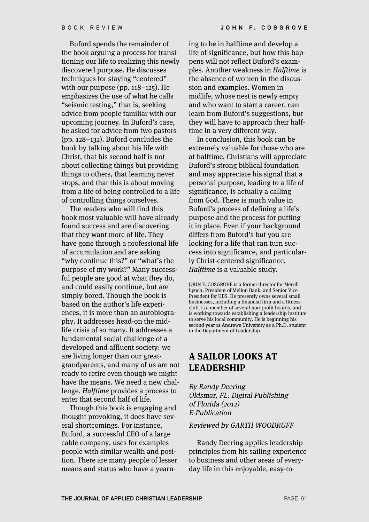Buford spends the remainder of the book arguing a process for transitioning our life to realizing this newly discovered purpose. He discusses techniques for staying "centered" with our purpose (pp. 118–125). He emphasizes the use of what he calls "seismic testing," that is, seeking advice from people familiar with our upcoming journey. In Buford's case, he asked for advice from two pastors (pp. 128–132). Buford concludes the book by talking about his life with Christ, that his second half is not about collecting things but providing things to others, that learning never stops, and that this is about moving from a life of being controlled to a life of controlling things ourselves.

The readers who will find this book most valuable will have already found success and are discovering that they want more of life. They have gone through a professional life of accumulation and are asking "why continue this?" or "what's the purpose of my work?" Many successful people are good at what they do, and could easily continue, but are simply bored. Though the book is based on the author's life experiences, it is more than an autobiography. It addresses head-on the midlife crisis of so many. It addresses a fundamental social challenge of a developed and affluent society: we are living longer than our greatgrandparents, and many of us are not ready to retire even though we might have the means. We need a new challenge. Halftime provides a process to enter that second half of life.

Though this book is engaging and thought provoking, it does have several shortcomings. For instance, Buford, a successful CEO of a large cable company, uses for examples people with similar wealth and position. There are many people of lesser means and status who have a yearning to be in halftime and develop a life of significance, but how this happens will not reflect Buford's examples. Another weakness in Halftime is the absence of women in the discussion and examples. Women in midlife, whose nest is newly empty and who want to start a career, can learn from Buford's suggestions, but they will have to approach their halftime in a very different way.

In conclusion, this book can be extremely valuable for those who are at halftime. Christians will appreciate Buford's strong biblical foundation and may appreciate his signal that a personal purpose, leading to a life of significance, is actually a calling from God. There is much value in Buford's process of defining a life's purpose and the process for putting it in place. Even if your background differs from Buford's but you are looking for a life that can turn success into significance, and particularly Christ-centered significance, Halftime is a valuable study.

JOHN F. COSGROVE is a former director for Merrill Lynch, President of Mellon Bank, and Senior Vice President for UBS. He presently owns several small businesses, including a financial firm and a fitness club, is a member of several non-profit boards, and is working towards establishing a leadership institute to serve his local community. He is beginning his second year at Andrews University as a Ph.D. student in the Department of Leadership.

### **A SAILOR LOOKS AT LEADERSHIP**

By Randy Deering Oldsmar, FL: Digital Publishing of Florida (2012) E-Publication

#### Reviewed by GARTH WOODRUFF

Randy Deering applies leadership principles from his sailing experience to business and other areas of everyday life in this enjoyable, easy-to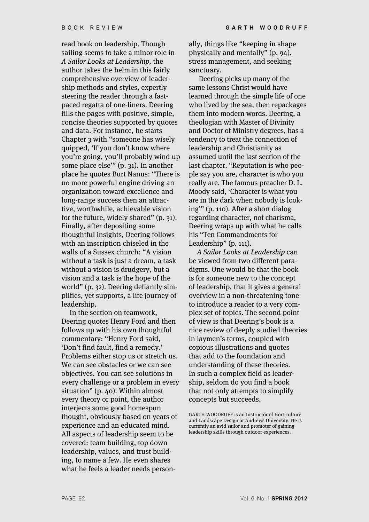read book on leadership. Though sailing seems to take a minor role in A Sailor Looks at Leadership, the author takes the helm in this fairly comprehensive overview of leadership methods and styles, expertly steering the reader through a fastpaced regatta of one-liners. Deering fills the pages with positive, simple, concise theories supported by quotes and data. For instance, he starts Chapter 3 with "someone has wisely quipped, 'If you don't know where you're going, you'll probably wind up some place else'" (p. 31). In another place he quotes Burt Nanus: "There is no more powerful engine driving an organization toward excellence and long-range success then an attractive, worthwhile, achievable vision for the future, widely shared" (p. 31). Finally, after depositing some thoughtful insights, Deering follows with an inscription chiseled in the walls of a Sussex church: "A vision without a task is just a dream, a task without a vision is drudgery, but a vision and a task is the hope of the world" (p. 32). Deering defiantly simplifies, yet supports, a life journey of leadership.

In the section on teamwork, Deering quotes Henry Ford and then follows up with his own thoughtful commentary: "Henry Ford said, 'Don't find fault, find a remedy.' Problems either stop us or stretch us. We can see obstacles or we can see objectives. You can see solutions in every challenge or a problem in every situation" (p. 40). Within almost every theory or point, the author interjects some good homespun thought, obviously based on years of experience and an educated mind. All aspects of leadership seem to be covered: team building, top down leadership, values, and trust building, to name a few. He even shares what he feels a leader needs person-

ally, things like "keeping in shape physically and mentally" (p. 94), stress management, and seeking sanctuary.

Deering picks up many of the same lessons Christ would have learned through the simple life of one who lived by the sea, then repackages them into modern words. Deering, a theologian with Master of Divinity and Doctor of Ministry degrees, has a tendency to treat the connection of leadership and Christianity as assumed until the last section of the last chapter. "Reputation is who people say you are, character is who you really are. The famous preacher D. L. Moody said, 'Character is what you are in the dark when nobody is looking'" (p. 110). After a short dialog regarding character, not charisma, Deering wraps up with what he calls his "Ten Commandments for Leadership" (p. 111).

A Sailor Looks at Leadership can be viewed from two different paradigms. One would be that the book is for someone new to the concept of leadership, that it gives a general overview in a non-threatening tone to introduce a reader to a very complex set of topics. The second point of view is that Deering's book is a nice review of deeply studied theories in laymen's terms, coupled with copious illustrations and quotes that add to the foundation and understanding of these theories. In such a complex field as leadership, seldom do you find a book that not only attempts to simplify concepts but succeeds.

GARTH WOODRUFF is an Instructor of Horticulture and Landscape Design at Andrews University. He is currently an avid sailor and promoter of gaining leadership skills through outdoor experiences.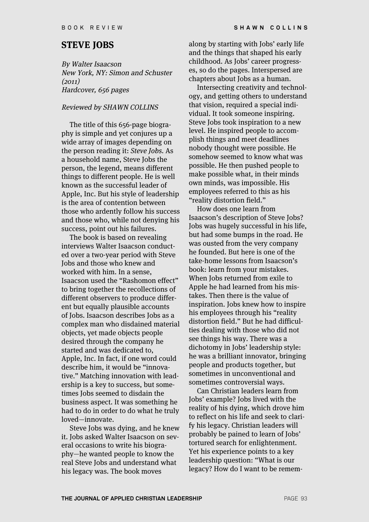### **STEVE JOBS**

By Walter Isaacson New York, NY: Simon and Schuster (2011) Hardcover, 656 pages

#### Reviewed by SHAWN COLLINS

The title of this 656-page biography is simple and yet conjures up a wide array of images depending on the person reading it: Steve Jobs. As a household name, Steve Jobs the person, the legend, means different things to different people. He is well known as the successful leader of Apple, Inc. But his style of leadership is the area of contention between those who ardently follow his success and those who, while not denying his success, point out his failures.

The book is based on revealing interviews Walter Isaacson conducted over a two-year period with Steve Jobs and those who knew and worked with him. In a sense, Isaacson used the "Rashomon effect" to bring together the recollections of different observers to produce different but equally plausible accounts of Jobs. Isaacson describes Jobs as a complex man who disdained material objects, yet made objects people desired through the company he started and was dedicated to, Apple, Inc. In fact, if one word could describe him, it would be "innovative." Matching innovation with leadership is a key to success, but sometimes Jobs seemed to disdain the business aspect. It was something he had to do in order to do what he truly loved—innovate.

Steve Jobs was dying, and he knew it. Jobs asked Walter Isaacson on several occasions to write his biography—he wanted people to know the real Steve Jobs and understand what his legacy was. The book moves

along by starting with Jobs' early life and the things that shaped his early childhood. As Jobs' career progresses, so do the pages. Interspersed are chapters about Jobs as a human.

Intersecting creativity and technology, and getting others to understand that vision, required a special individual. It took someone inspiring. Steve Jobs took inspiration to a new level. He inspired people to accomplish things and meet deadlines nobody thought were possible. He somehow seemed to know what was possible. He then pushed people to make possible what, in their minds own minds, was impossible. His employees referred to this as his "reality distortion field."

How does one learn from Isaacson's description of Steve Jobs? Jobs was hugely successful in his life, but had some bumps in the road. He was ousted from the very company he founded. But here is one of the take-home lessons from Isaacson's book: learn from your mistakes. When Jobs returned from exile to Apple he had learned from his mistakes. Then there is the value of inspiration. Jobs knew how to inspire his employees through his "reality distortion field." But he had difficulties dealing with those who did not see things his way. There was a dichotomy in Jobs' leadership style: he was a brilliant innovator, bringing people and products together, but sometimes in unconventional and sometimes controversial ways.

Can Christian leaders learn from Jobs' example? Jobs lived with the reality of his dying, which drove him to reflect on his life and seek to clarify his legacy. Christian leaders will probably be pained to learn of Jobs' tortured search for enlightenment. Yet his experience points to a key leadership question: "What is our legacy? How do I want to be remem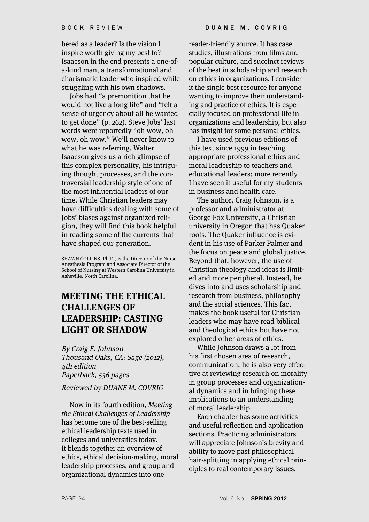bered as a leader? Is the vision I inspire worth giving my best to? Isaacson in the end presents a one-ofa-kind man, a transformational and charismatic leader who inspired while struggling with his own shadows.

Jobs had "a premonition that he would not live a long life" and "felt a sense of urgency about all he wanted to get done" (p. 262). Steve Jobs' last words were reportedly "oh wow, oh wow, oh wow." We'll never know to what he was referring. Walter Isaacson gives us a rich glimpse of this complex personality, his intriguing thought processes, and the controversial leadership style of one of the most influential leaders of our time. While Christian leaders may have difficulties dealing with some of Jobs' biases against organized religion, they will find this book helpful in reading some of the currents that have shaped our generation.

SHAWN COLLINS, Ph.D., is the Director of the Nurse Anesthesia Program and Associate Director of the School of Nursing at Western Carolina University in Asheville, North Carolina.

# **MEETING THE ETHICAL CHALLENGES OF LEADERSHIP: CASTING LIGHT OR SHADOW**

By Craig E. Johnson Thousand Oaks, CA: Sage (2012), 4th edition Paperback, 536 pages

Reviewed by DUANE M. COVRIG

Now in its fourth edition, Meeting the Ethical Challenges of Leadership has become one of the best-selling ethical leadership texts used in colleges and universities today. It blends together an overview of ethics, ethical decision-making, moral leadership processes, and group and organizational dynamics into one

reader-friendly source. It has case studies, illustrations from films and popular culture, and succinct reviews of the best in scholarship and research on ethics in organizations. I consider it the single best resource for anyone wanting to improve their understanding and practice of ethics. It is especially focused on professional life in organizations and leadership, but also has insight for some personal ethics.

I have used previous editions of this text since 1999 in teaching appropriate professional ethics and moral leadership to teachers and educational leaders; more recently I have seen it useful for my students in business and health care.

The author, Craig Johnson, is a professor and administrator at George Fox University, a Christian university in Oregon that has Quaker roots. The Quaker influence is evident in his use of Parker Palmer and the focus on peace and global justice. Beyond that, however, the use of Christian theology and ideas is limited and more peripheral. Instead, he dives into and uses scholarship and research from business, philosophy and the social sciences. This fact makes the book useful for Christian leaders who may have read biblical and theological ethics but have not explored other areas of ethics.

While Johnson draws a lot from his first chosen area of research, communication, he is also very effective at reviewing research on morality in group processes and organizational dynamics and in bringing these implications to an understanding of moral leadership.

Each chapter has some activities and useful reflection and application sections. Practicing administrators will appreciate Johnson's brevity and ability to move past philosophical hair-splitting in applying ethical principles to real contemporary issues.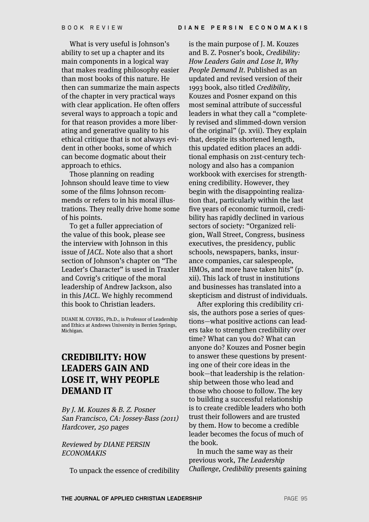What is very useful is Johnson's ability to set up a chapter and its main components in a logical way that makes reading philosophy easier than most books of this nature. He then can summarize the main aspects of the chapter in very practical ways with clear application. He often offers several ways to approach a topic and for that reason provides a more liberating and generative quality to his ethical critique that is not always evident in other books, some of which can become dogmatic about their approach to ethics.

Those planning on reading Johnson should leave time to view some of the films Johnson recommends or refers to in his moral illustrations. They really drive home some of his points.

To get a fuller appreciation of the value of this book, please see the interview with Johnson in this issue of JACL. Note also that a short section of Johnson's chapter on "The Leader's Character" is used in Traxler and Covrig's critique of the moral leadership of Andrew Jackson, also in this JACL. We highly recommend this book to Christian leaders.

DUANE M. COVRIG, Ph.D., is Professor of Leadership and Ethics at Andrews University in Berrien Springs, Michigan.

# **CREDIBILITY: HOW LEADERS GAIN AND LOSE IT, WHY PEOPLE DEMAND IT**

By J. M. Kouzes & B. Z. Posner San Francisco, CA: Jossey-Bass (2011) Hardcover, 250 pages

### Reviewed by DIANE PERSIN **ECONOMAKIS**

To unpack the essence of credibility

is the main purpose of J. M. Kouzes and B. Z. Posner's book, Credibility: How Leaders Gain and Lose It, Why People Demand It. Published as an updated and revised version of their 1993 book, also titled Credibility, Kouzes and Posner expand on this most seminal attribute of successful leaders in what they call a "completely revised and slimmed-down version of the original" (p. xvii). They explain that, despite its shortened length, this updated edition places an additional emphasis on 21st-century technology and also has a companion workbook with exercises for strengthening credibility. However, they begin with the disappointing realization that, particularly within the last five years of economic turmoil, credibility has rapidly declined in various sectors of society: "Organized religion, Wall Street, Congress, business executives, the presidency, public schools, newspapers, banks, insurance companies, car salespeople, HMOs, and more have taken hits" (p. xii). This lack of trust in institutions and businesses has translated into a skepticism and distrust of individuals.

After exploring this credibility crisis, the authors pose a series of questions—what positive actions can leaders take to strengthen credibility over time? What can you do? What can anyone do? Kouzes and Posner begin to answer these questions by presenting one of their core ideas in the book—that leadership is the relationship between those who lead and those who choose to follow. The key to building a successful relationship is to create credible leaders who both trust their followers and are trusted by them. How to become a credible leader becomes the focus of much of the book.

In much the same way as their previous work, The Leadership Challenge, Credibility presents gaining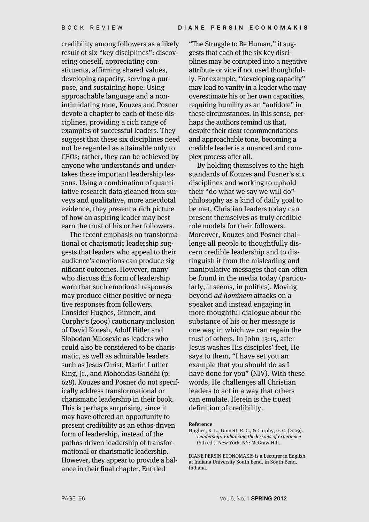credibility among followers as a likely result of six "key disciplines": discovering oneself, appreciating constituents, affirming shared values, developing capacity, serving a purpose, and sustaining hope. Using approachable language and a nonintimidating tone, Kouzes and Posner devote a chapter to each of these disciplines, providing a rich range of examples of successful leaders. They suggest that these six disciplines need not be regarded as attainable only to CEOs; rather, they can be achieved by anyone who understands and undertakes these important leadership lessons. Using a combination of quantitative research data gleaned from surveys and qualitative, more anecdotal evidence, they present a rich picture of how an aspiring leader may best earn the trust of his or her followers.

The recent emphasis on transformational or charismatic leadership suggests that leaders who appeal to their audience's emotions can produce significant outcomes. However, many who discuss this form of leadership warn that such emotional responses may produce either positive or negative responses from followers. Consider Hughes, Ginnett, and Curphy's (2009) cautionary inclusion of David Koresh, Adolf Hitler and Slobodan Milosevic as leaders who could also be considered to be charismatic, as well as admirable leaders such as Jesus Christ, Martin Luther King, Jr., and Mohondas Gandhi (p. 628). Kouzes and Posner do not specifically address transformational or charismatic leadership in their book. This is perhaps surprising, since it may have offered an opportunity to present credibility as an ethos-driven form of leadership, instead of the pathos-driven leadership of transformational or charismatic leadership. However, they appear to provide a balance in their final chapter. Entitled

"The Struggle to Be Human," it suggests that each of the six key disciplines may be corrupted into a negative attribute or vice if not used thoughtfully. For example, "developing capacity" may lead to vanity in a leader who may overestimate his or her own capacities, requiring humility as an "antidote" in these circumstances. In this sense, perhaps the authors remind us that, despite their clear recommendations and approachable tone, becoming a credible leader is a nuanced and complex process after all.

By holding themselves to the high standards of Kouzes and Posner's six disciplines and working to uphold their "do what we say we will do" philosophy as a kind of daily goal to be met, Christian leaders today can present themselves as truly credible role models for their followers. Moreover, Kouzes and Posner challenge all people to thoughtfully discern credible leadership and to distinguish it from the misleading and manipulative messages that can often be found in the media today (particularly, it seems, in politics). Moving beyond ad hominem attacks on a speaker and instead engaging in more thoughtful dialogue about the substance of his or her message is one way in which we can regain the trust of others. In John 13:15, after Jesus washes His disciples' feet, He says to them, "I have set you an example that you should do as I have done for you" (NIV). With these words, He challenges all Christian leaders to act in a way that others can emulate. Herein is the truest definition of credibility.

#### **Reference**

Hughes, R. L., Ginnett, R. C., & Curphy, G. C. (2009). Leadership: Enhancing the lessons of experience (6th ed.). New York, NY: McGraw-Hill.

DIANE PERSIN ECONOMAKIS is a Lecturer in English at Indiana University South Bend, in South Bend, Indiana.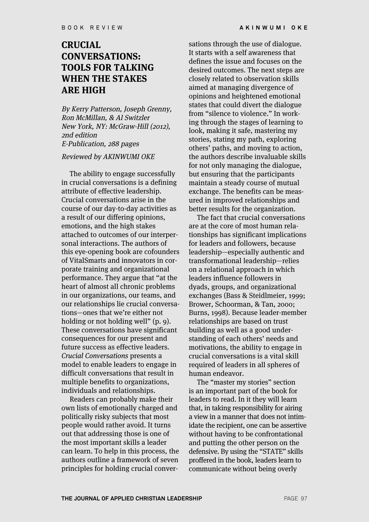### **CRUCIAL CONVERSATIONS: TOOLS FOR TALKING WHEN THE STAKES ARE HIGH**

By Kerry Patterson, Joseph Grenny, Ron McMillan, & Al Switzler New York, NY: McGraw-Hill (2012), 2nd edition E-Publication, 288 pages

#### Reviewed by AKINWUMI OKE

The ability to engage successfully in crucial conversations is a defining attribute of effective leadership. Crucial conversations arise in the course of our day-to-day activities as a result of our differing opinions, emotions, and the high stakes attached to outcomes of our interpersonal interactions. The authors of this eye-opening book are cofounders of VitalSmarts and innovators in corporate training and organizational performance. They argue that "at the heart of almost all chronic problems in our organizations, our teams, and our relationships lie crucial conversations—ones that we're either not holding or not holding well" (p. 9). These conversations have significant consequences for our present and future success as effective leaders. Crucial Conversations presents a model to enable leaders to engage in difficult conversations that result in multiple benefits to organizations, individuals and relationships.

Readers can probably make their own lists of emotionally charged and politically risky subjects that most people would rather avoid. It turns out that addressing those is one of the most important skills a leader can learn. To help in this process, the authors outline a framework of seven principles for holding crucial conversations through the use of dialogue. It starts with a self awareness that defines the issue and focuses on the desired outcomes. The next steps are closely related to observation skills aimed at managing divergence of opinions and heightened emotional states that could divert the dialogue from "silence to violence." In working through the stages of learning to look, making it safe, mastering my stories, stating my path, exploring others' paths, and moving to action, the authors describe invaluable skills for not only managing the dialogue, but ensuring that the participants maintain a steady course of mutual exchange. The benefits can be measured in improved relationships and better results for the organization.

The fact that crucial conversations are at the core of most human relationships has significant implications for leaders and followers, because leadership—especially authentic and transformational leadership—relies on a relational approach in which leaders influence followers in dyads, groups, and organizational exchanges (Bass & Steidlmeier, 1999; Brower, Schoorman, & Tan, 2000; Burns, 1998). Because leader-member relationships are based on trust building as well as a good understanding of each others' needs and motivations, the ability to engage in crucial conversations is a vital skill required of leaders in all spheres of human endeavor.

The "master my stories" section is an important part of the book for leaders to read. In it they will learn that, in taking responsibility for airing a view in a manner that does not intimidate the recipient, one can be assertive without having to be confrontational and putting the other person on the defensive. By using the "STATE" skills proffered in the book, leaders learn to communicate without being overly